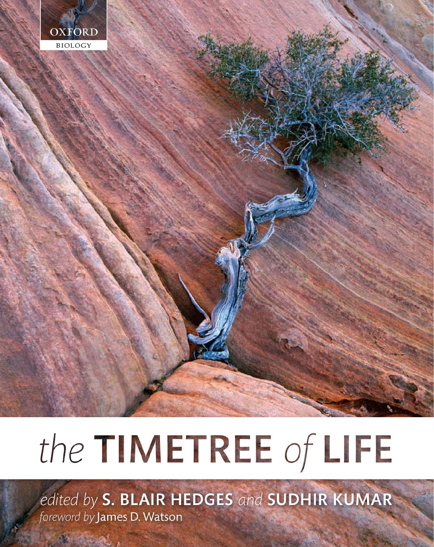

## the TIMETREE of LIFE

edited by S. BLAIR HEDGES and SUDHIR KUMAR foreword by James D. Watson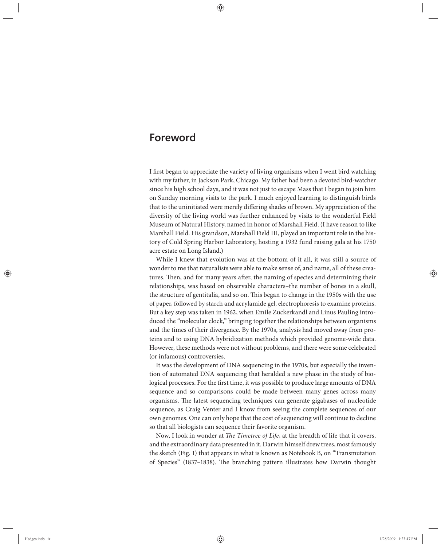## Foreword

I first began to appreciate the variety of living organisms when I went bird watching with my father, in Jackson Park, Chicago. My father had been a devoted bird-watcher since his high school days, and it was not just to escape Mass that I began to join him on Sunday morning visits to the park. I much enjoyed learning to distinguish birds that to the uninitiated were merely differing shades of brown. My appreciation of the diversity of the living world was further enhanced by visits to the wonderful Field Museum of Natural History, named in honor of Marshall Field. (I have reason to like Marshall Field. His grandson, Marshall Field III, played an important role in the history of Cold Spring Harbor Laboratory, hosting a 1932 fund raising gala at his 1750 acre estate on Long Island.)

While I knew that evolution was at the bottom of it all, it was still a source of wonder to me that naturalists were able to make sense of, and name, all of these creatures. Then, and for many years after, the naming of species and determining their relationships, was based on observable characters–the number of bones in a skull, the structure of gentitalia, and so on. This began to change in the 1950s with the use of paper, followed by starch and acrylamide gel, electrophoresis to examine proteins. But a key step was taken in 1962, when Emile Zuckerkandl and Linus Pauling introduced the "molecular clock," bringing together the relationships between organisms and the times of their divergence. By the 1970s, analysis had moved away from proteins and to using DNA hybridization methods which provided genome-wide data. However, these methods were not without problems, and there were some celebrated (or infamous) controversies.

It was the development of DNA sequencing in the 1970s, but especially the invention of automated DNA sequencing that heralded a new phase in the study of biological processes. For the first time, it was possible to produce large amounts of DNA sequence and so comparisons could be made between many genes across many organisms. The latest sequencing techniques can generate gigabases of nucleotide sequence, as Craig Venter and I know from seeing the complete sequences of our own genomes. One can only hope that the cost of sequencing will continue to decline so that all biologists can sequence their favorite organism.

Now, I look in wonder at *The Timetree of Life*, at the breadth of life that it covers, and the extraordinary data presented in it. Darwin himself drew trees, most famously the sketch (Fig. 1) that appears in what is known as Notebook B, on "Transmutation of Species" (1837–1838). The branching pattern illustrates how Darwin thought